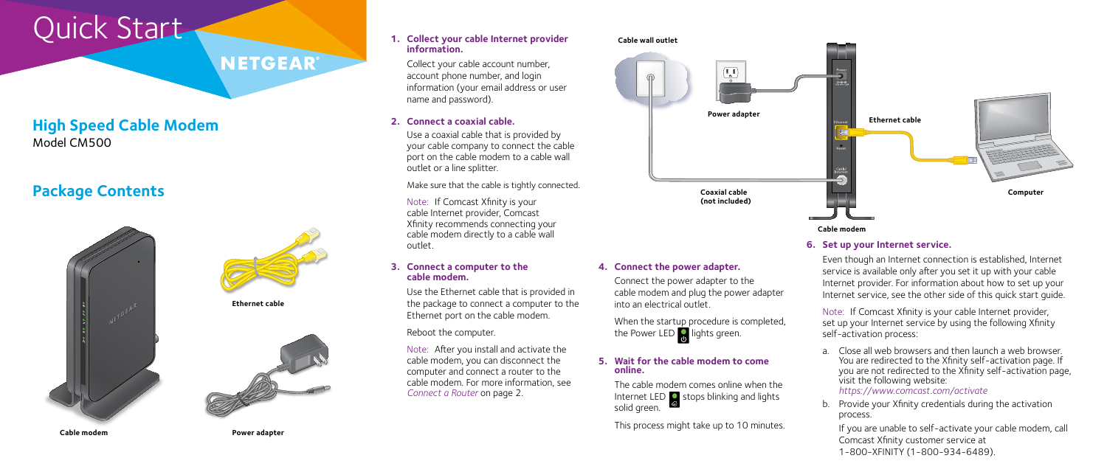# Quick Start

## **High Speed Cable Modem** Model CM500

#### **4. Connect the power adapter.**

When the startup procedure is completed, the Power LED  $\int_0^{\cdot}$  lights green.

Connect the power adapter to the cable modem and plug the power adapter into an electrical outlet.

## **Package Contents**





**NETGEAR** 

Note: If Comcast Xfinity is your cable Internet provider, set up your Internet service by using the following Xfinity self-activation process:

Even though an Internet connection is established, Internet service is available only after you set it up with your cable Internet provider. For information about how to set up your Internet service, see the other side of this quick start guide.



a. Close all web browsers and then launch a web browser. You are redirected to the Xfinity self-activation page. If you are not redirected to the Xfinity self-activation page, visit the following website: *<https://www.comcast.com/activate>*

b. Provide your Xfinity credentials during the activation

process.

If you are unable to self-activate your cable modem, call Comcast Xfinity customer service at 1-800-XFINITY (1-800-934-6489).

**Cable modem**

**Ethernet cable**





#### **Cable wall outlet**

#### **5. Wait for the cable modem to come online.**

The cable modem comes online when the Internet LED  $\bullet$  stops blinking and lights solid green.

This process might take up to 10 minutes.

#### **3. Connect a computer to the cable modem.**

Use the Ethernet cable that is provided in the package to connect a computer to the Ethernet port on the cable modem.

Reboot the computer.

Note: After you install and activate the cable modem, you can disconnect the computer and connect a router to the cable modem. For more information, see *[Connect a Router](#page-1-0)* on page 2.

### **2. Connect a coaxial cable.**

Use a coaxial cable that is provided by your cable company to connect the cable port on the cable modem to a cable wall outlet or a line splitter.

Make sure that the cable is tightly connected.

Note: If Comcast Xfinity is your cable Internet provider, Comcast Xfinity recommends connecting your cable modem directly to a cable wall outlet.

#### **1. Collect your cable Internet provider information.**

Collect your cable account number, account phone number, and login information (your email address or user name and password).